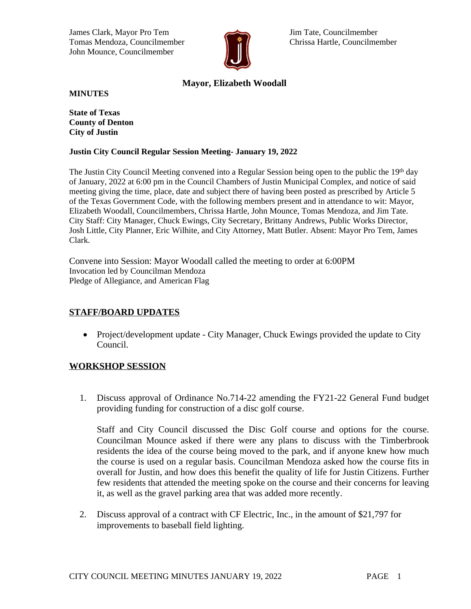James Clark, Mayor Pro Tem Jim Tate, Councilmember Tomas Mendoza, Councilmember **Christian Hartle, Councilmember** Chrissa Hartle, Councilmember John Mounce, Councilmember



# **Mayor, Elizabeth Woodall**

**MINUTES**

**State of Texas County of Denton City of Justin**

#### **Justin City Council Regular Session Meeting- January 19, 2022**

The Justin City Council Meeting convened into a Regular Session being open to the public the 19th day of January, 2022 at 6:00 pm in the Council Chambers of Justin Municipal Complex, and notice of said meeting giving the time, place, date and subject there of having been posted as prescribed by Article 5 of the Texas Government Code, with the following members present and in attendance to wit: Mayor, Elizabeth Woodall, Councilmembers, Chrissa Hartle, John Mounce, Tomas Mendoza, and Jim Tate. City Staff: City Manager, Chuck Ewings, City Secretary, Brittany Andrews, Public Works Director, Josh Little, City Planner, Eric Wilhite, and City Attorney, Matt Butler. Absent: Mayor Pro Tem, James Clark.

Convene into Session: Mayor Woodall called the meeting to order at 6:00PM Invocation led by Councilman Mendoza Pledge of Allegiance, and American Flag

# **STAFF/BOARD UPDATES**

• Project/development update - City Manager, Chuck Ewings provided the update to City Council.

#### **WORKSHOP SESSION**

1. Discuss approval of Ordinance No.714-22 amending the FY21-22 General Fund budget providing funding for construction of a disc golf course.

Staff and City Council discussed the Disc Golf course and options for the course. Councilman Mounce asked if there were any plans to discuss with the Timberbrook residents the idea of the course being moved to the park, and if anyone knew how much the course is used on a regular basis. Councilman Mendoza asked how the course fits in overall for Justin, and how does this benefit the quality of life for Justin Citizens. Further few residents that attended the meeting spoke on the course and their concerns for leaving it, as well as the gravel parking area that was added more recently.

2. Discuss approval of a contract with CF Electric, Inc., in the amount of \$21,797 for improvements to baseball field lighting.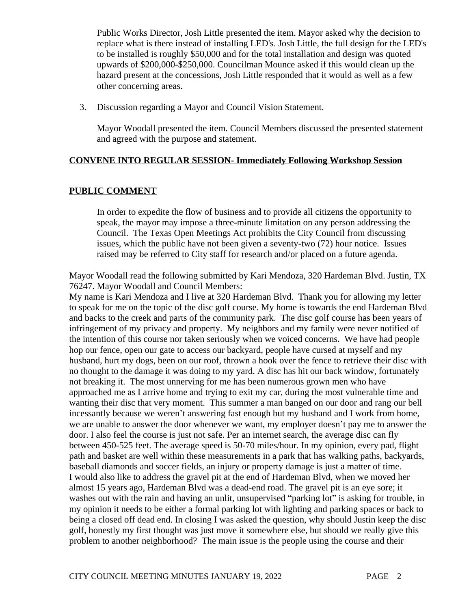Public Works Director, Josh Little presented the item. Mayor asked why the decision to replace what is there instead of installing LED's. Josh Little, the full design for the LED's to be installed is roughly \$50,000 and for the total installation and design was quoted upwards of \$200,000-\$250,000. Councilman Mounce asked if this would clean up the hazard present at the concessions, Josh Little responded that it would as well as a few other concerning areas.

3. Discussion regarding a Mayor and Council Vision Statement.

Mayor Woodall presented the item. Council Members discussed the presented statement and agreed with the purpose and statement.

# **CONVENE INTO REGULAR SESSION- Immediately Following Workshop Session**

# **PUBLIC COMMENT**

In order to expedite the flow of business and to provide all citizens the opportunity to speak, the mayor may impose a three-minute limitation on any person addressing the Council. The Texas Open Meetings Act prohibits the City Council from discussing issues, which the public have not been given a seventy-two (72) hour notice. Issues raised may be referred to City staff for research and/or placed on a future agenda.

Mayor Woodall read the following submitted by Kari Mendoza, 320 Hardeman Blvd. Justin, TX 76247. Mayor Woodall and Council Members:

My name is Kari Mendoza and I live at 320 Hardeman Blvd. Thank you for allowing my letter to speak for me on the topic of the disc golf course. My home is towards the end Hardeman Blvd and backs to the creek and parts of the community park. The disc golf course has been years of infringement of my privacy and property. My neighbors and my family were never notified of the intention of this course nor taken seriously when we voiced concerns. We have had people hop our fence, open our gate to access our backyard, people have cursed at myself and my husband, hurt my dogs, been on our roof, thrown a hook over the fence to retrieve their disc with no thought to the damage it was doing to my yard. A disc has hit our back window, fortunately not breaking it. The most unnerving for me has been numerous grown men who have approached me as I arrive home and trying to exit my car, during the most vulnerable time and wanting their disc that very moment. This summer a man banged on our door and rang our bell incessantly because we weren't answering fast enough but my husband and I work from home, we are unable to answer the door whenever we want, my employer doesn't pay me to answer the door. I also feel the course is just not safe. Per an internet search, the average disc can fly between 450-525 feet. The average speed is 50-70 miles/hour. In my opinion, every pad, flight path and basket are well within these measurements in a park that has walking paths, backyards, baseball diamonds and soccer fields, an injury or property damage is just a matter of time. I would also like to address the gravel pit at the end of Hardeman Blvd, when we moved her almost 15 years ago, Hardeman Blvd was a dead-end road. The gravel pit is an eye sore; it washes out with the rain and having an unlit, unsupervised "parking lot" is asking for trouble, in my opinion it needs to be either a formal parking lot with lighting and parking spaces or back to being a closed off dead end. In closing I was asked the question, why should Justin keep the disc golf, honestly my first thought was just move it somewhere else, but should we really give this problem to another neighborhood? The main issue is the people using the course and their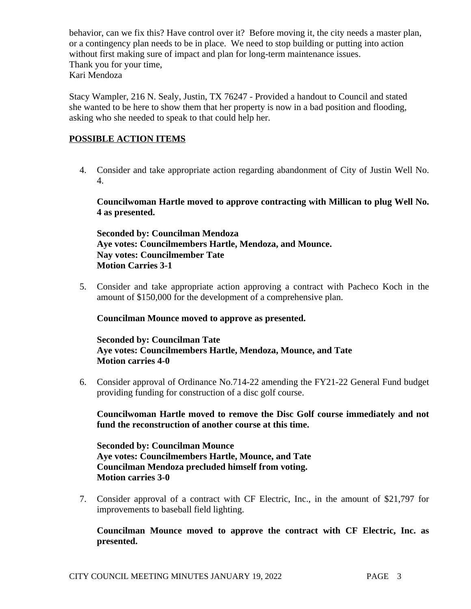behavior, can we fix this? Have control over it? Before moving it, the city needs a master plan, or a contingency plan needs to be in place. We need to stop building or putting into action without first making sure of impact and plan for long-term maintenance issues. Thank you for your time, Kari Mendoza

Stacy Wampler, 216 N. Sealy, Justin, TX 76247 - Provided a handout to Council and stated she wanted to be here to show them that her property is now in a bad position and flooding, asking who she needed to speak to that could help her.

# **POSSIBLE ACTION ITEMS**

4. Consider and take appropriate action regarding abandonment of City of Justin Well No. 4.

**Councilwoman Hartle moved to approve contracting with Millican to plug Well No. 4 as presented.** 

**Seconded by: Councilman Mendoza Aye votes: Councilmembers Hartle, Mendoza, and Mounce. Nay votes: Councilmember Tate Motion Carries 3-1**

5. Consider and take appropriate action approving a contract with Pacheco Koch in the amount of \$150,000 for the development of a comprehensive plan.

**Councilman Mounce moved to approve as presented.**

**Seconded by: Councilman Tate Aye votes: Councilmembers Hartle, Mendoza, Mounce, and Tate Motion carries 4-0**

6. Consider approval of Ordinance No.714-22 amending the FY21-22 General Fund budget providing funding for construction of a disc golf course.

**Councilwoman Hartle moved to remove the Disc Golf course immediately and not fund the reconstruction of another course at this time.** 

**Seconded by: Councilman Mounce Aye votes: Councilmembers Hartle, Mounce, and Tate Councilman Mendoza precluded himself from voting. Motion carries 3-0**

7. Consider approval of a contract with CF Electric, Inc., in the amount of \$21,797 for improvements to baseball field lighting.

**Councilman Mounce moved to approve the contract with CF Electric, Inc. as presented.**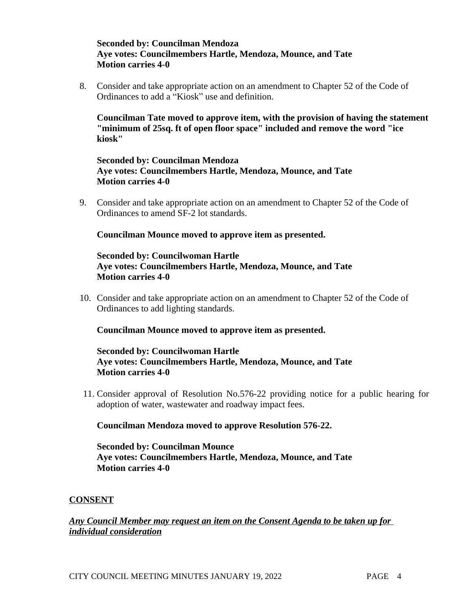# **Seconded by: Councilman Mendoza Aye votes: Councilmembers Hartle, Mendoza, Mounce, and Tate Motion carries 4-0**

8. Consider and take appropriate action on an amendment to Chapter 52 of the Code of Ordinances to add a "Kiosk" use and definition.

**Councilman Tate moved to approve item, with the provision of having the statement "minimum of 25sq. ft of open floor space" included and remove the word "ice kiosk"** 

## **Seconded by: Councilman Mendoza Aye votes: Councilmembers Hartle, Mendoza, Mounce, and Tate Motion carries 4-0**

9. Consider and take appropriate action on an amendment to Chapter 52 of the Code of Ordinances to amend SF-2 lot standards.

# **Councilman Mounce moved to approve item as presented.**

## **Seconded by: Councilwoman Hartle Aye votes: Councilmembers Hartle, Mendoza, Mounce, and Tate Motion carries 4-0**

10. Consider and take appropriate action on an amendment to Chapter 52 of the Code of Ordinances to add lighting standards.

#### **Councilman Mounce moved to approve item as presented.**

# **Seconded by: Councilwoman Hartle Aye votes: Councilmembers Hartle, Mendoza, Mounce, and Tate Motion carries 4-0**

11. Consider approval of Resolution No.576-22 providing notice for a public hearing for adoption of water, wastewater and roadway impact fees.

#### **Councilman Mendoza moved to approve Resolution 576-22.**

**Seconded by: Councilman Mounce Aye votes: Councilmembers Hartle, Mendoza, Mounce, and Tate Motion carries 4-0**

# **CONSENT**

# *Any Council Member may request an item on the Consent Agenda to be taken up for individual consideration*